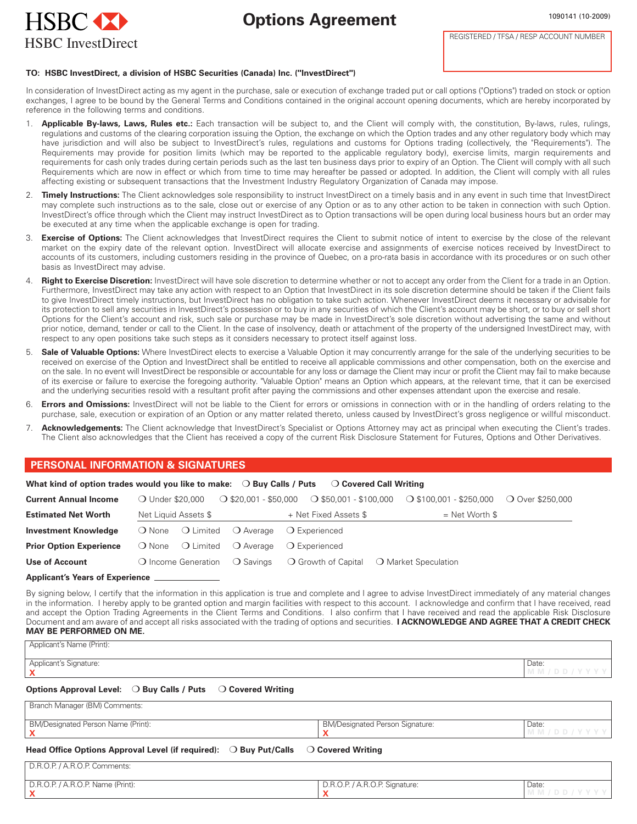



REGISTERED / TFSA / RESP ACCOUNT NUMBER

#### **TO: HSBC InvestDirect, a division of HSBC Securities (Canada) Inc. ("InvestDirect")**

In consideration of InvestDirect acting as my agent in the purchase, sale or execution of exchange traded put or call options ("Options") traded on stock or option exchanges, I agree to be bound by the General Terms and Conditions contained in the original account opening documents, which are hereby incorporated by reference in the following terms and conditions.

- 1. **Applicable By-laws, Laws, Rules etc.:** Each transaction will be subject to, and the Client will comply with, the constitution, By-laws, rules, rulings, regulations and customs of the clearing corporation issuing the Option, the exchange on which the Option trades and any other regulatory body which may have jurisdiction and will also be subject to InvestDirect's rules, regulations and customs for Options trading (collectively, the "Requirements"). The Requirements may provide for position limits (which may be reported to the applicable regulatory body), exercise limits, margin requirements and requirements for cash only trades during certain periods such as the last ten business days prior to expiry of an Option. The Client will comply with all such Requirements which are now in effect or which from time to time may hereafter be passed or adopted. In addition, the Client will comply with all rules affecting existing or subsequent transactions that the Investment Industry Regulatory Organization of Canada may impose.
- Timely Instructions: The Client acknowledges sole responsibility to instruct InvestDirect on a timely basis and in any event in such time that InvestDirect may complete such instructions as to the sale, close out or exercise of any Option or as to any other action to be taken in connection with such Option. InvestDirect's office through which the Client may instruct InvestDirect as to Option transactions will be open during local business hours but an order may be executed at any time when the applicable exchange is open for trading.
- 3. **Exercise of Options:** The Client acknowledges that InvestDirect requires the Client to submit notice of intent to exercise by the close of the relevant market on the expiry date of the relevant option. InvestDirect will allocate exercise and assignments of exercise notices received by InvestDirect to accounts of its customers, including customers residing in the province of Quebec, on a pro-rata basis in accordance with its procedures or on such other basis as InvestDirect may advise.
- **Right to Exercise Discretion:** InvestDirect will have sole discretion to determine whether or not to accept any order from the Client for a trade in an Option. Furthermore, InvestDirect may take any action with respect to an Option that InvestDirect in its sole discretion determine should be taken if the Client fails to give InvestDirect timely instructions, but InvestDirect has no obligation to take such action. Whenever InvestDirect deems it necessary or advisable for its protection to sell any securities in InvestDirect's possession or to buy in any securities of which the Client's account may be short, or to buy or sell short Options for the Client's account and risk, such sale or purchase may be made in InvestDirect's sole discretion without advertising the same and without prior notice, demand, tender or call to the Client. In the case of insolvency, death or attachment of the property of the undersigned InvestDirect may, with respect to any open positions take such steps as it considers necessary to protect itself against loss.
- 5. **Sale of Valuable Options:** Where InvestDirect elects to exercise a Valuable Option it may concurrently arrange for the sale of the underlying securities to be received on exercise of the Option and InvestDirect shall be entitled to receive all applicable commissions and other compensation, both on the exercise and on the sale. In no event will InvestDirect be responsible or accountable for any loss or damage the Client may incur or profit the Client may fail to make because of its exercise or failure to exercise the foregoing authority. "Valuable Option" means an Option which appears, at the relevant time, that it can be exercised and the underlying securities resold with a resultant profit after paying the commissions and other expenses attendant upon the exercise and resale.
- 6. **Errors and Omissions:** InvestDirect will not be liable to the Client for errors or omissions in connection with or in the handling of orders relating to the purchase, sale, execution or expiration of an Option or any matter related thereto, unless caused by InvestDirect's gross negligence or willful misconduct.
- 7. **Acknowledgements:** The Client acknowledge that InvestDirect's Specialist or Options Attorney may act as principal when executing the Client's trades. The Client also acknowledges that the Client has received a copy of the current Risk Disclosure Statement for Futures, Options and Other Derivatives.

# **PERSONAL INFORMATION & SIGNATURES**

| What kind of option trades would you like to make: $\bigcirc$ Buy Calls / Puts<br>○ Covered Call Writing |                                        |                                |                                                            |                                                                  |                  |  |  |
|----------------------------------------------------------------------------------------------------------|----------------------------------------|--------------------------------|------------------------------------------------------------|------------------------------------------------------------------|------------------|--|--|
| <b>Current Annual Income</b>                                                                             | ○ Under \$20,000                       | $\bigcirc$ \$20,001 - \$50,000 |                                                            | $\bigcirc$ \$50,001 - \$100,000 $\bigcirc$ \$100,001 - \$250,000 | ○ Over \$250,000 |  |  |
| <b>Estimated Net Worth</b>                                                                               | Net Liquid Assets \$                   |                                | + Net Fixed Assets \$                                      | $=$ Net Worth \$                                                 |                  |  |  |
| <b>Investment Knowledge</b>                                                                              | ◯ Limited<br>$\bigcirc$ None           | O Average                      | ○ Experienced                                              |                                                                  |                  |  |  |
| <b>Prior Option Experience</b>                                                                           | ○ Limited ○ Average<br>$\bigcirc$ None |                                | $\Omega$ Experienced                                       |                                                                  |                  |  |  |
| Use of Account                                                                                           | O Income Generation                    | ◯ Savings                      | $\bigcirc$ Growth of Capital $\bigcirc$ Market Speculation |                                                                  |                  |  |  |

#### **Applicant's Years of Experience**

By signing below, I certify that the information in this application is true and complete and I agree to advise InvestDirect immediately of any material changes in the information. I hereby apply to be granted option and margin facilities with respect to this account. I acknowledge and confirm that I have received, read and accept the Option Trading Agreements in the Client Terms and Conditions. I also confirm that I have received and read the applicable Risk Disclosure Document and am aware of and accept all risks associated with the trading of options and securities. **I ACKNOWLEDGE AND AGREE THAT A CREDIT CHECK MAY BE PERFORMED ON ME.**

#### Applicant's Name (Print):

**X MM/DD/YYYY** Applicant's Signature: **Date:** Date: **Date: Proposition of the Contract of Contract of Contract of Date: <b>Date:** Date: **Date:** 

### **Options Approval Level:** ❍ **Buy Calls / Puts** ❍ **Covered Writing**

| Branch Manager (BM) Comments:                                                                            |                                        |            |  |  |  |  |
|----------------------------------------------------------------------------------------------------------|----------------------------------------|------------|--|--|--|--|
|                                                                                                          |                                        |            |  |  |  |  |
| BM/Designated Person Name (Print):                                                                       | <b>BM/Designated Person Signature:</b> | Date:      |  |  |  |  |
|                                                                                                          |                                        | MM/DD/YYYY |  |  |  |  |
| Head Office Options Approval Level (if required): $\bigcirc$ Buy Put/Calls<br>$\bigcirc$ Covered Writing |                                        |            |  |  |  |  |
| D.R.O.P. / A.R.O.P. Comments:                                                                            |                                        |            |  |  |  |  |
| D.R.O.P. / A.R.O.P. Name (Print):                                                                        | D.R.O.P. / A.R.O.P. Signature:         | Date:      |  |  |  |  |

**X X MM/DD/YYYY**